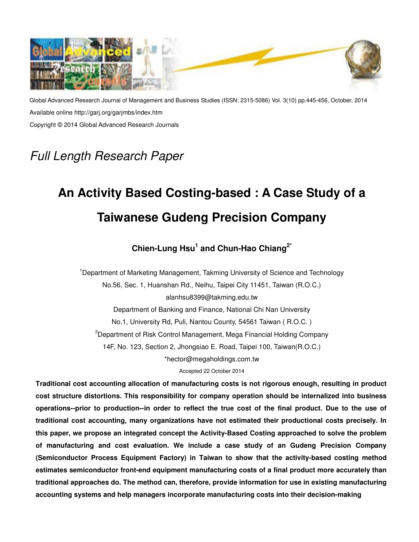

Global Advanced Research Journal of Management and Business Studies (ISSN: 2315-5086) Vol. 3(10) pp.445-456, October, 2014 Available online http://garj.org/garjmbs/index.htm Copyright © 2014 Global Advanced Research Journals

## Full Length Research Paper

# **An Activity Based Costing-based : A Case Study of a Taiwanese Gudeng Precision Company**

## **Chien-Lung Hsu<sup>1</sup> and Chun-Hao Chiang2\***

<sup>1</sup>Department of Marketing Management, Takming University of Science and Technology No.56, Sec. 1, Huanshan Rd., Neihu, Taipei City 11451, Taiwan (R.O.C.) alanhsu8399@takming.edu.tw Department of Banking and Finance, National Chi Nan University No.1, University Rd, Puli, Nantou County, 54561 Taiwan ( R.O.C. ) <sup>2</sup>Department of Risk Control Management, Mega Financial Holding Company 14F, No. 123, Section 2, Jhongsiao E. Road, Taipei 100, Taiwan(R.O.C.) \*hector@megaholdings.com.tw

Accepted 22 October 2014

**Traditional cost accounting allocation of manufacturing costs is not rigorous enough, resulting in product cost structure distortions. This responsibility for company operation should be internalized into business operations--prior to production--in order to reflect the true cost of the final product. Due to the use of traditional cost accounting, many organizations have not estimated their productional costs precisely. In this paper, we propose an integrated concept the Activity-Based Costing approached to solve the problem of manufacturing and cost evaluation. We include a case study of an Gudeng Precision Company (Semiconductor Process Equipment Factory) in Taiwan to show that the activity-based costing method estimates semiconductor front-end equipment manufacturing costs of a final product more accurately than traditional approaches do. The method can, therefore, provide information for use in existing manufacturing accounting systems and help managers incorporate manufacturing costs into their decision-making**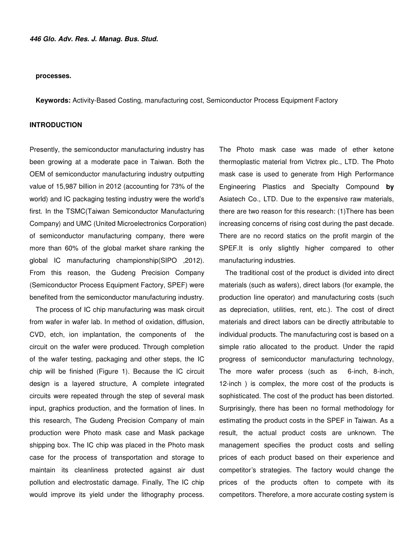#### **processes.**

**Keywords:** Activity-Based Costing, manufacturing cost, Semiconductor Process Equipment Factory

#### **INTRODUCTION**

Presently, the semiconductor manufacturing industry has been growing at a moderate pace in Taiwan. Both the OEM of semiconductor manufacturing industry outputting value of 15,987 billion in 2012 (accounting for 73% of the world) and IC packaging testing industry were the world's first. In the TSMC(Taiwan Semiconductor Manufacturing Company) and UMC (United Microelectronics Corporation) of semiconductor manufacturing company, there were more than 60% of the global market share ranking the global IC manufacturing championship(SIPO ,2012). From this reason, the Gudeng Precision Company (Semiconductor Process Equipment Factory, SPEF) were benefited from the semiconductor manufacturing industry.

The process of IC chip manufacturing was mask circuit from wafer in wafer lab. In method of oxidation, diffusion, CVD, etch, ion implantation, the components of the circuit on the wafer were produced. Through completion of the wafer testing, packaging and other steps, the IC chip will be finished (Figure 1). Because the IC circuit design is a layered structure, A complete integrated circuits were repeated through the step of several mask input, graphics production, and the formation of lines. In this research, The Gudeng Precision Company of main production were Photo mask case and Mask package shipping box. The IC chip was placed in the Photo mask case for the process of transportation and storage to maintain its cleanliness protected against air dust pollution and electrostatic damage. Finally, The IC chip would improve its yield under the lithography process.

The Photo mask case was made of ether ketone thermoplastic material from Victrex plc., LTD. The Photo mask case is used to generate from High Performance Engineering Plastics and Specialty Compound **by**  Asiatech Co., LTD. Due to the expensive raw materials, there are two reason for this research: (1)There has been increasing concerns of rising cost during the past decade. There are no record statics on the profit margin of the SPEF.It is only slightly higher compared to other manufacturing industries.

The traditional cost of the product is divided into direct materials (such as wafers), direct labors (for example, the production line operator) and manufacturing costs (such as depreciation, utilities, rent, etc.). The cost of direct materials and direct labors can be directly attributable to individual products. The manufacturing cost is based on a simple ratio allocated to the product. Under the rapid progress of semiconductor manufacturing technology, The more wafer process (such as 6-inch, 8-inch, 12-inch ) is complex, the more cost of the products is sophisticated. The cost of the product has been distorted. Surprisingly, there has been no formal methodology for estimating the product costs in the SPEF in Taiwan. As a result, the actual product costs are unknown. The management specifies the product costs and selling prices of each product based on their experience and competitor's strategies. The factory would change the prices of the products often to compete with its competitors. Therefore, a more accurate costing system is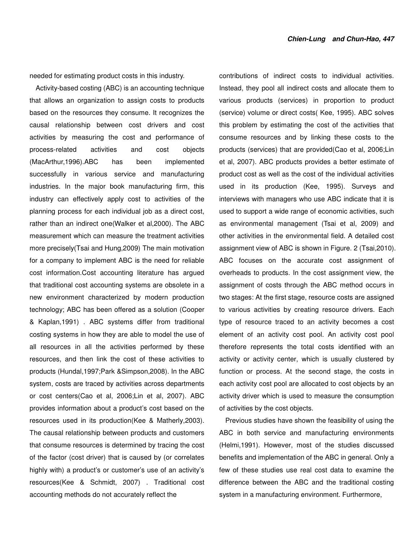needed for estimating product costs in this industry.

Activity-based costing (ABC) is an accounting technique that allows an organization to assign costs to products based on the resources they consume. It recognizes the causal relationship between cost drivers and cost activities by measuring the cost and performance of process-related activities and cost objects (MacArthur,1996).ABC has been implemented successfully in various service and manufacturing industries. In the major book manufacturing firm, this industry can effectively apply cost to activities of the planning process for each individual job as a direct cost, rather than an indirect one(Walker et al,2000). The ABC measurement which can measure the treatment activities more precisely(Tsai and Hung,2009) The main motivation for a company to implement ABC is the need for reliable cost information.Cost accounting literature has argued that traditional cost accounting systems are obsolete in a new environment characterized by modern production technology; ABC has been offered as a solution (Cooper & Kaplan,1991) . ABC systems differ from traditional costing systems in how they are able to model the use of all resources in all the activities performed by these resources, and then link the cost of these activities to products (Hundal,1997;Park &Simpson,2008). In the ABC system, costs are traced by activities across departments or cost centers(Cao et al, 2006;Lin et al, 2007). ABC provides information about a product's cost based on the resources used in its production(Kee & Matherly,2003). The causal relationship between products and customers that consume resources is determined by tracing the cost of the factor (cost driver) that is caused by (or correlates highly with) a product's or customer's use of an activity's resources(Kee & Schmidt, 2007) . Traditional cost accounting methods do not accurately reflect the

contributions of indirect costs to individual activities. Instead, they pool all indirect costs and allocate them to various products (services) in proportion to product (service) volume or direct costs( Kee, 1995). ABC solves this problem by estimating the cost of the activities that consume resources and by linking these costs to the products (services) that are provided(Cao et al, 2006;Lin et al, 2007). ABC products provides a better estimate of product cost as well as the cost of the individual activities used in its production (Kee, 1995). Surveys and interviews with managers who use ABC indicate that it is used to support a wide range of economic activities, such as environmental management (Tsai et al, 2009) and other activities in the environmental field. A detailed cost assignment view of ABC is shown in Figure. 2 (Tsai,2010). ABC focuses on the accurate cost assignment of overheads to products. In the cost assignment view, the assignment of costs through the ABC method occurs in two stages: At the first stage, resource costs are assigned to various activities by creating resource drivers. Each type of resource traced to an activity becomes a cost element of an activity cost pool. An activity cost pool therefore represents the total costs identified with an activity or activity center, which is usually clustered by function or process. At the second stage, the costs in each activity cost pool are allocated to cost objects by an activity driver which is used to measure the consumption of activities by the cost objects.

Previous studies have shown the feasibility of using the ABC in both service and manufacturing environments (Helmi,1991). However, most of the studies discussed benefits and implementation of the ABC in general. Only a few of these studies use real cost data to examine the difference between the ABC and the traditional costing system in a manufacturing environment. Furthermore,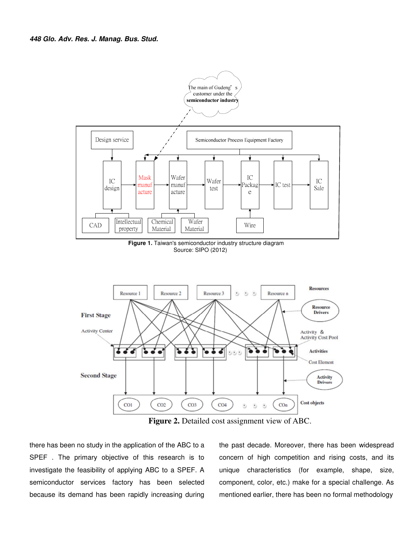

**Figure 2.** Detailed cost assignment view of ABC.

there has been no study in the application of the ABC to a SPEF . The primary objective of this research is to investigate the feasibility of applying ABC to a SPEF. A semiconductor services factory has been selected because its demand has been rapidly increasing during the past decade. Moreover, there has been widespread concern of high competition and rising costs, and its unique characteristics (for example, shape, size, component, color, etc.) make for a special challenge. As mentioned earlier, there has been no formal methodology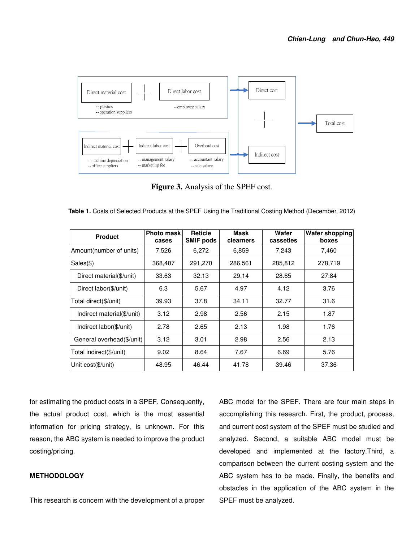

**Figure 3.** Analysis of the SPEF cost.

|  | Table 1. Costs of Selected Products at the SPEF Using the Traditional Costing Method (December, 2012) |
|--|-------------------------------------------------------------------------------------------------------|
|--|-------------------------------------------------------------------------------------------------------|

| <b>Product</b>             | <b>Photo mask</b><br>cases | <b>Reticle</b><br><b>SMIF pods</b> | Mask<br>clearners | Wafer<br>cassetles | <b>Wafer shopping</b><br>boxes |
|----------------------------|----------------------------|------------------------------------|-------------------|--------------------|--------------------------------|
| Amount(number of units)    | 7,526                      | 6,272                              | 6,859             | 7,243              | 7,460                          |
| Sales(\$)                  | 368,407                    | 291,270                            | 286,561           | 285,812            | 278,719                        |
| Direct material(\$/unit)   | 33.63                      | 32.13                              | 29.14             | 28.65              | 27.84                          |
| Direct labor(\$/unit)      | 6.3                        | 5.67                               | 4.97              | 4.12               | 3.76                           |
| Total direct(\$/unit)      | 39.93                      | 37.8                               | 34.11             | 32.77              | 31.6                           |
| Indirect material(\$/unit) | 3.12                       | 2.98                               | 2.56              | 2.15               | 1.87                           |
| Indirect labor(\$/unit)    | 2.78                       | 2.65                               | 2.13              | 1.98               | 1.76                           |
| General overhead(\$/unit)  | 3.12                       | 3.01                               | 2.98              | 2.56               | 2.13                           |
| Total indirect(\$/unit)    | 9.02                       | 8.64                               | 7.67              | 6.69               | 5.76                           |
| Unit cost(\$/unit)         | 48.95                      | 46.44                              | 41.78             | 39.46              | 37.36                          |

for estimating the product costs in a SPEF. Consequently, the actual product cost, which is the most essential information for pricing strategy, is unknown. For this reason, the ABC system is needed to improve the product costing/pricing.

#### **METHODOLOGY**

This research is concern with the development of a proper

ABC model for the SPEF. There are four main steps in accomplishing this research. First, the product, process, and current cost system of the SPEF must be studied and analyzed. Second, a suitable ABC model must be developed and implemented at the factory.Third, a comparison between the current costing system and the ABC system has to be made. Finally, the benefits and obstacles in the application of the ABC system in the SPEF must be analyzed.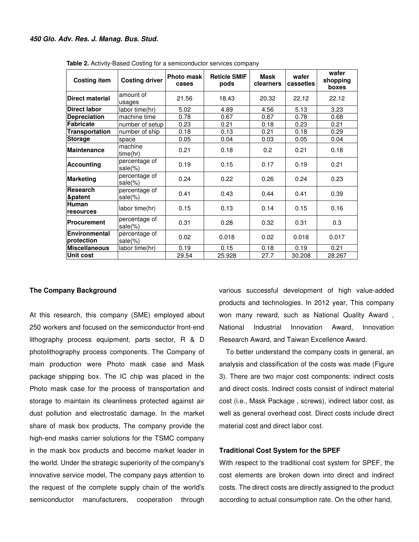| <b>Costing item</b>                | <b>Costing driver</b>               | <b>Photo mask</b><br>cases | <b>Reticle SMIF</b><br>pods | <b>Mask</b><br>clearners | wafer<br>cassetles | wafer<br>shopping<br>boxes |
|------------------------------------|-------------------------------------|----------------------------|-----------------------------|--------------------------|--------------------|----------------------------|
| Direct material                    | amount of<br>usages                 | 21.56                      | 18.43                       | 20.32                    | 22.12              | 22.12                      |
| <b>Direct labor</b>                | labor time(hr)                      | 5.02                       | 4.89                        | 4.56                     | 5.13               | 3.23                       |
| Depreciation                       | machine time                        | 0.78                       | 0.67                        | 0.67                     | 0.78               | 0.68                       |
| <b>Fabricate</b>                   | number of setup                     | 0.23                       | 0.21                        | 0.18                     | 0.23               | 0.21                       |
| <b>Transportation</b>              | number of ship                      | 0.18                       | 0.13                        | 0.21                     | 0.18               | 0.29                       |
| <b>Storage</b>                     | space                               | 0.05                       | 0.04                        | 0.03                     | 0.05               | 0.04                       |
| <b>Maintenance</b>                 | machine<br>time(hr)                 | 0.21                       | 0.18                        | 0.2                      | 0.21               | 0.18                       |
| <b>Accounting</b>                  | percentage of<br>$\text{ sale}(\%)$ | 0.19                       | 0.15                        | 0.17                     | 0.19               | 0.21                       |
| <b>Marketing</b>                   | percentage of<br>$\text{ sale}(\%)$ | 0.24                       | 0.22                        | 0.26                     | 0.24               | 0.23                       |
| <b>Research</b><br>&patent         | percentage of<br>sale(%)            | 0.41                       | 0.43                        | 0.44                     | 0.41               | 0.39                       |
| Human<br>resources                 | labor time(hr)                      | 0.15                       | 0.13                        | 0.14                     | 0.15               | 0.16                       |
| <b>Procurement</b>                 | percentage of<br>sale(%)            | 0.31                       | 0.28                        | 0.32                     | 0.31               | 0.3                        |
| <b>Environmental</b><br>protection | percentage of<br>sale(%)            | 0.02                       | 0.018                       | 0.02                     | 0.018              | 0.017                      |
| <b>Miscellaneous</b>               | labor time(hr)                      | 0.19                       | 0.15                        | 0.18                     | 0.19               | 0.21                       |
| Unit cost                          |                                     | 29.54                      | 25.928                      | 27.7                     | 30.208             | 28.267                     |

**Table 2.** Activity-Based Costing for a semiconductor services company

#### **The Company Background**

At this research, this company (SME) employed about 250 workers and focused on the semiconductor front-end lithography process equipment, parts sector, R & D photolithography process components. The Company of main production were Photo mask case and Mask package shipping box. The IC chip was placed in the Photo mask case for the process of transportation and storage to maintain its cleanliness protected against air dust pollution and electrostatic damage. In the market share of mask box products, The company provide the high-end masks carrier solutions for the TSMC company in the mask box products and become market leader in the world. Under the strategic superiority of the company's innovative service model, The company pays attention to the request of the complete supply chain of the world's semiconductor manufacturers, cooperation through

various successful development of high value-added products and technologies. In 2012 year, This company won many reward, such as National Quality Award , National Industrial Innovation Award, Innovation Research Award, and Taiwan Excellence Award.

 To better understand the company costs in general, an analysis and classification of the costs was made (Figure 3). There are two major cost components: indirect costs and direct costs. Indirect costs consist of indirect material cost (i.e., Mask Package , screws), indirect labor cost, as well as general overhead cost. Direct costs include direct material cost and direct labor cost.

#### **Traditional Cost System for the SPEF**

With respect to the traditional cost system for SPEF, the cost elements are broken down into direct and indirect costs. The direct costs are directly assigned to the product according to actual consumption rate. On the other hand,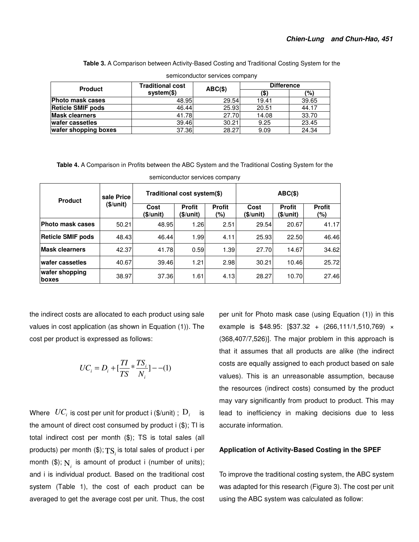**Table 3.** A Comparison between Activity-Based Costing and Traditional Costing System for the

| <b>Product</b>           | <b>Traditional cost</b> | $ABC($ \$) | <b>Difference</b> |       |  |
|--------------------------|-------------------------|------------|-------------------|-------|--|
|                          | system(\$)              |            | (\$)              | '%)   |  |
| <b>Photo mask cases</b>  | 48.95                   | 29.54      | 19.41             | 39.65 |  |
| <b>Reticle SMIF pods</b> | 46.44                   | 25.93      | 20.51             | 44.17 |  |
| <b>Mask clearners</b>    | 41.78                   | 27.70      | 14.08             | 33.70 |  |
| wafer cassetles          | 39.46                   | 30.21      | 9.25              | 23.45 |  |
| wafer shopping boxes     | 37.36                   | 28.27      | 9.09              | 24.34 |  |

semiconductor services company

**Table 4.** A Comparison in Profits between the ABC System and the Traditional Costing System for the

| <b>Product</b>           | sale Price<br>(\$/unit) |                   | Traditional cost system(\$) |                      | $ABC($ \$)        |                            |                      |
|--------------------------|-------------------------|-------------------|-----------------------------|----------------------|-------------------|----------------------------|----------------------|
|                          |                         | Cost<br>(\$/unit) | <b>Profit</b><br>(\$/unit)  | <b>Profit</b><br>(%) | Cost<br>(\$/unit) | <b>Profit</b><br>(\$/unit) | <b>Profit</b><br>(%) |
| Photo mask cases         | 50.21                   | 48.95             | 1.26                        | 2.51                 | 29.54             | 20.67                      | 41.17                |
| <b>Reticle SMIF pods</b> | 48.43                   | 46.44             | 1.99                        | 4.11                 | 25.93             | 22.50                      | 46.46                |
| <b>Mask clearners</b>    | 42.37                   | 41.78             | 0.59                        | 1.39                 | 27.70             | 14.67                      | 34.62                |
| wafer cassetles          | 40.67                   | 39.46             | 1.21                        | 2.98                 | 30.21             | 10.46                      | 25.72                |
| wafer shopping<br>boxes  | 38.97                   | 37.36             | 1.61                        | 4.13                 | 28.27             | 10.70                      | 27.46                |

semiconductor services company

the indirect costs are allocated to each product using sale values in cost application (as shown in Equation (1)). The cost per product is expressed as follows:

$$
UC_i = D_i + [\frac{TI}{TS} * \frac{TS_i}{N_i}] - -(1)
$$

Where  $\textit{UC}_i$  is cost per unit for product i (\$/unit) ;  $\text{D}_i$  is the amount of direct cost consumed by product i (\$); TI is total indirect cost per month (\$); TS is total sales (all products) per month (\$);  $\mathrm{TS}_i$  is total sales of product i per month  $(\$,); \mathbf{N}_i$  is amount of product i (number of units); and i is individual product. Based on the traditional cost system (Table 1), the cost of each product can be averaged to get the average cost per unit. Thus, the cost

per unit for Photo mask case (using Equation (1)) in this example is \$48.95: [\$37.32 + (266,111/1,510,769) × (368,407/7,526)]. The major problem in this approach is that it assumes that all products are alike (the indirect costs are equally assigned to each product based on sale values). This is an unreasonable assumption, because the resources (indirect costs) consumed by the product may vary significantly from product to product. This may lead to inefficiency in making decisions due to less accurate information.

#### **Application of Activity-Based Costing in the SPEF**

To improve the traditional costing system, the ABC system was adapted for this research (Figure 3). The cost per unit using the ABC system was calculated as follow: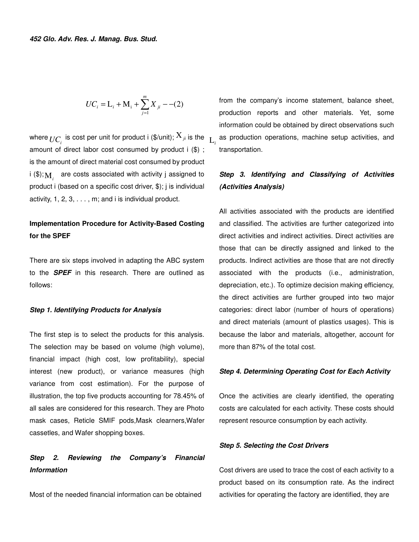$$
UC_i = \mathcal{L}_i + \mathcal{M}_i + \sum_{j=1}^{m} X_{ji} - (2)
$$

amount of direct labor cost consumed by product i (\$) ; is the amount of direct material cost consumed by product i (\$); ${\bf M}_i$  are costs associated with activity j assigned to product i (based on a specific cost driver, \$); j is individual activity,  $1, 2, 3, \ldots, m$ ; and i is individual product.

## **Implementation Procedure for Activity-Based Costing for the SPEF**

There are six steps involved in adapting the ABC system to the **SPEF** in this research. There are outlined as follows:

#### **Step 1. Identifying Products for Analysis**

The first step is to select the products for this analysis. The selection may be based on volume (high volume), financial impact (high cost, low profitability), special interest (new product), or variance measures (high variance from cost estimation). For the purpose of illustration, the top five products accounting for 78.45% of all sales are considered for this research. They are Photo mask cases, Reticle SMIF pods,Mask clearners,Wafer cassetles, and Wafer shopping boxes.

## **Step 2. Reviewing the Company's Financial Information**

Most of the needed financial information can be obtained

where  $_{UC_i}$  is cost per unit for product i (\$/unit);  $X_{ji}$  is the  $\frac{1}{L_i}$  as production operations, machine setup activities, and from the company's income statement, balance sheet, production reports and other materials. Yet, some information could be obtained by direct observations such transportation.

## **Step 3. Identifying and Classifying of Activities (Activities Analysis)**

All activities associated with the products are identified and classified. The activities are further categorized into direct activities and indirect activities. Direct activities are those that can be directly assigned and linked to the products. Indirect activities are those that are not directly associated with the products (i.e., administration, depreciation, etc.). To optimize decision making efficiency, the direct activities are further grouped into two major categories: direct labor (number of hours of operations) and direct materials (amount of plastics usages). This is because the labor and materials, altogether, account for more than 87% of the total cost.

#### **Step 4. Determining Operating Cost for Each Activity**

Once the activities are clearly identified, the operating costs are calculated for each activity. These costs should represent resource consumption by each activity.

#### **Step 5. Selecting the Cost Drivers**

Cost drivers are used to trace the cost of each activity to a product based on its consumption rate. As the indirect activities for operating the factory are identified, they are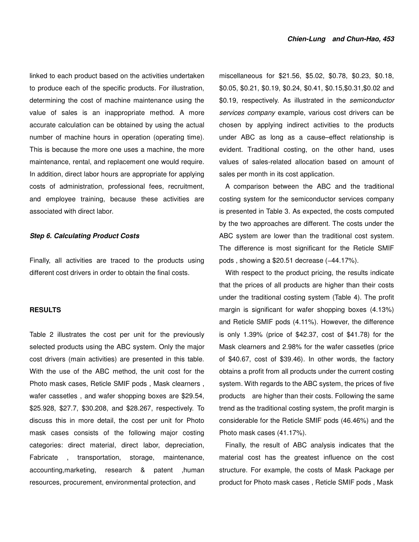linked to each product based on the activities undertaken to produce each of the specific products. For illustration, determining the cost of machine maintenance using the value of sales is an inappropriate method. A more accurate calculation can be obtained by using the actual number of machine hours in operation (operating time). This is because the more one uses a machine, the more maintenance, rental, and replacement one would require. In addition, direct labor hours are appropriate for applying costs of administration, professional fees, recruitment, and employee training, because these activities are associated with direct labor.

#### **Step 6. Calculating Product Costs**

Finally, all activities are traced to the products using different cost drivers in order to obtain the final costs.

#### **RESULTS**

Table 2 illustrates the cost per unit for the previously selected products using the ABC system. Only the major cost drivers (main activities) are presented in this table. With the use of the ABC method, the unit cost for the Photo mask cases, Reticle SMIF pods , Mask clearners , wafer cassetles , and wafer shopping boxes are \$29.54, \$25.928, \$27.7, \$30.208, and \$28.267, respectively. To discuss this in more detail, the cost per unit for Photo mask cases consists of the following major costing categories: direct material, direct labor, depreciation, Fabricate , transportation, storage, maintenance, accounting,marketing, research & patent ,human resources, procurement, environmental protection, and

miscellaneous for \$21.56, \$5.02, \$0.78, \$0.23, \$0.18, \$0.05, \$0.21, \$0.19, \$0.24, \$0.41, \$0.15,\$0.31,\$0.02 and \$0.19, respectively. As illustrated in the semiconductor services company example, various cost drivers can be chosen by applying indirect activities to the products under ABC as long as a cause–effect relationship is evident. Traditional costing, on the other hand, uses values of sales-related allocation based on amount of sales per month in its cost application.

A comparison between the ABC and the traditional costing system for the semiconductor services company is presented in Table 3. As expected, the costs computed by the two approaches are different. The costs under the ABC system are lower than the traditional cost system. The difference is most significant for the Reticle SMIF pods, showing a \$20.51 decrease (-44.17%).

With respect to the product pricing, the results indicate that the prices of all products are higher than their costs under the traditional costing system (Table 4). The profit margin is significant for wafer shopping boxes (4.13%) and Reticle SMIF pods (4.11%). However, the difference is only 1.39% (price of \$42.37, cost of \$41.78) for the Mask clearners and 2.98% for the wafer cassetles (price of \$40.67, cost of \$39.46). In other words, the factory obtains a profit from all products under the current costing system. With regards to the ABC system, the prices of five products are higher than their costs. Following the same trend as the traditional costing system, the profit margin is considerable for the Reticle SMIF pods (46.46%) and the Photo mask cases (41.17%).

Finally, the result of ABC analysis indicates that the material cost has the greatest influence on the cost structure. For example, the costs of Mask Package per product for Photo mask cases , Reticle SMIF pods , Mask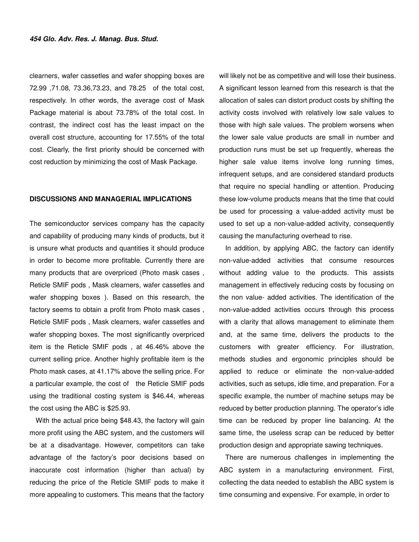clearners, wafer cassetles and wafer shopping boxes are 72.99 ,71.08, 73.36,73.23, and 78.25 of the total cost, respectively. In other words, the average cost of Mask Package material is about 73.78% of the total cost. In contrast, the indirect cost has the least impact on the overall cost structure, accounting for 17.55% of the total cost. Clearly, the first priority should be concerned with cost reduction by minimizing the cost of Mask Package.

#### **DISCUSSIONS AND MANAGERIAL IMPLICATIONS**

The semiconductor services company has the capacity and capability of producing many kinds of products, but it is unsure what products and quantities it should produce in order to become more profitable. Currently there are many products that are overpriced (Photo mask cases , Reticle SMIF pods , Mask clearners, wafer cassetles and wafer shopping boxes ). Based on this research, the factory seems to obtain a profit from Photo mask cases , Reticle SMIF pods , Mask clearners, wafer cassetles and wafer shopping boxes. The most significantly overpriced item is the Reticle SMIF pods , at 46.46% above the current selling price. Another highly profitable item is the Photo mask cases, at 41.17% above the selling price. For a particular example, the cost of the Reticle SMIF pods using the traditional costing system is \$46.44, whereas the cost using the ABC is \$25.93.

With the actual price being \$48.43, the factory will gain more profit using the ABC system, and the customers will be at a disadvantage. However, competitors can take advantage of the factory's poor decisions based on inaccurate cost information (higher than actual) by reducing the price of the Reticle SMIF pods to make it more appealing to customers. This means that the factory

will likely not be as competitive and will lose their business. A significant lesson learned from this research is that the allocation of sales can distort product costs by shifting the activity costs involved with relatively low sale values to those with high sale values. The problem worsens when the lower sale value products are small in number and production runs must be set up frequently, whereas the higher sale value items involve long running times, infrequent setups, and are considered standard products that require no special handling or attention. Producing these low-volume products means that the time that could be used for processing a value-added activity must be used to set up a non-value-added activity, consequently causing the manufacturing overhead to rise.

In addition, by applying ABC, the factory can identify non-value-added activities that consume resources without adding value to the products. This assists management in effectively reducing costs by focusing on the non value- added activities. The identification of the non-value-added activities occurs through this process with a clarity that allows management to eliminate them and, at the same time, delivers the products to the customers with greater efficiency. For illustration, methods studies and ergonomic principles should be applied to reduce or eliminate the non-value-added activities, such as setups, idle time, and preparation. For a specific example, the number of machine setups may be reduced by better production planning. The operator's idle time can be reduced by proper line balancing. At the same time, the useless scrap can be reduced by better production design and appropriate sawing techniques.

There are numerous challenges in implementing the ABC system in a manufacturing environment. First, collecting the data needed to establish the ABC system is time consuming and expensive. For example, in order to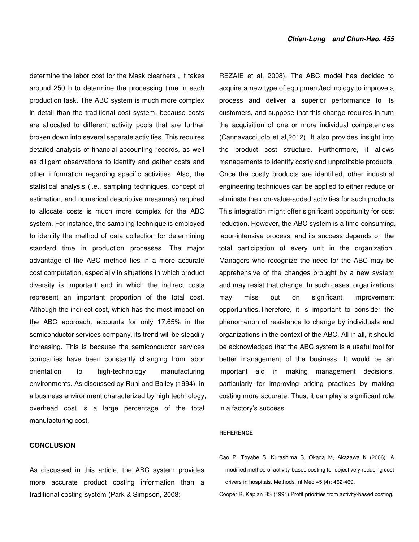determine the labor cost for the Mask clearners , it takes around 250 h to determine the processing time in each production task. The ABC system is much more complex in detail than the traditional cost system, because costs are allocated to different activity pools that are further broken down into several separate activities. This requires detailed analysis of financial accounting records, as well as diligent observations to identify and gather costs and other information regarding specific activities. Also, the statistical analysis (i.e., sampling techniques, concept of estimation, and numerical descriptive measures) required to allocate costs is much more complex for the ABC system. For instance, the sampling technique is employed to identify the method of data collection for determining standard time in production processes. The major advantage of the ABC method lies in a more accurate cost computation, especially in situations in which product diversity is important and in which the indirect costs represent an important proportion of the total cost. Although the indirect cost, which has the most impact on the ABC approach, accounts for only 17.65% in the semiconductor services company, its trend will be steadily increasing. This is because the semiconductor services companies have been constantly changing from labor orientation to high-technology manufacturing environments. As discussed by Ruhl and Bailey (1994), in a business environment characterized by high technology, overhead cost is a large percentage of the total manufacturing cost.

#### **CONCLUSION**

As discussed in this article, the ABC system provides more accurate product costing information than a traditional costing system (Park & Simpson, 2008;

REZAIE et al, 2008). The ABC model has decided to acquire a new type of equipment/technology to improve a process and deliver a superior performance to its customers, and suppose that this change requires in turn the acquisition of one or more individual competencies (Cannavacciuolo et al,2012). It also provides insight into the product cost structure. Furthermore, it allows managements to identify costly and unprofitable products. Once the costly products are identified, other industrial engineering techniques can be applied to either reduce or eliminate the non-value-added activities for such products. This integration might offer significant opportunity for cost reduction. However, the ABC system is a time-consuming, labor-intensive process, and its success depends on the total participation of every unit in the organization. Managers who recognize the need for the ABC may be apprehensive of the changes brought by a new system and may resist that change. In such cases, organizations may miss out on significant improvement opportunities.Therefore, it is important to consider the phenomenon of resistance to change by individuals and organizations in the context of the ABC. All in all, it should be acknowledged that the ABC system is a useful tool for better management of the business. It would be an important aid in making management decisions, particularly for improving pricing practices by making costing more accurate. Thus, it can play a significant role in a factory's success.

#### **REFERENCE**

- Cao P, Toyabe S, Kurashima S, Okada M, Akazawa K (2006). A modified method of activity-based costing for objectively reducing cost drivers in hospitals. Methods Inf Med 45 (4): 462-469.
- Cooper R, Kaplan RS (1991).Profit priorities from activity-based costing.